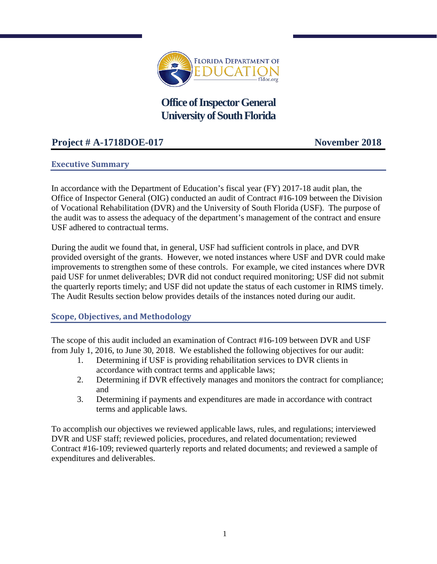

# **Office of Inspector General University of South Florida**

## **Project # A-1718DOE-017 November 2018**

## **Executive Summary**

In accordance with the Department of Education's fiscal year (FY) 2017-18 audit plan, the Office of Inspector General (OIG) conducted an audit of Contract #16-109 between the Division of Vocational Rehabilitation (DVR) and the University of South Florida (USF). The purpose of the audit was to assess the adequacy of the department's management of the contract and ensure USF adhered to contractual terms.

During the audit we found that, in general, USF had sufficient controls in place, and DVR provided oversight of the grants. However, we noted instances where USF and DVR could make improvements to strengthen some of these controls. For example, we cited instances where DVR paid USF for unmet deliverables; DVR did not conduct required monitoring; USF did not submit the quarterly reports timely; and USF did not update the status of each customer in RIMS timely. The Audit Results section below provides details of the instances noted during our audit.

#### **Scope, Objectives, and Methodology**

The scope of this audit included an examination of Contract #16-109 between DVR and USF from July 1, 2016, to June 30, 2018. We established the following objectives for our audit:

- 1. Determining if USF is providing rehabilitation services to DVR clients in accordance with contract terms and applicable laws;
- 2. Determining if DVR effectively manages and monitors the contract for compliance; and
- 3. Determining if payments and expenditures are made in accordance with contract terms and applicable laws.

To accomplish our objectives we reviewed applicable laws, rules, and regulations; interviewed DVR and USF staff; reviewed policies, procedures, and related documentation; reviewed Contract #16-109; reviewed quarterly reports and related documents; and reviewed a sample of expenditures and deliverables.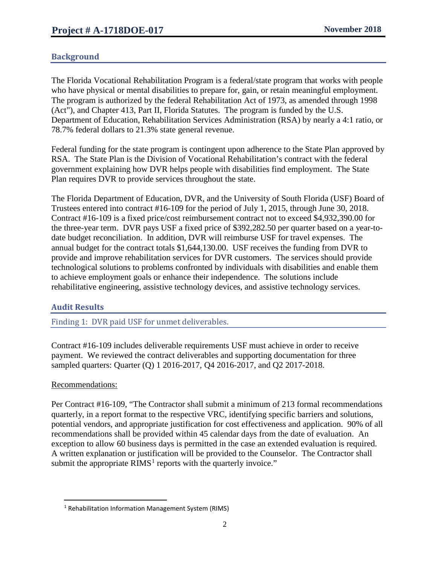## **Background**

The Florida Vocational Rehabilitation Program is a federal/state program that works with people who have physical or mental disabilities to prepare for, gain, or retain meaningful employment. The program is authorized by the federal Rehabilitation Act of 1973, as amended through 1998 (Act"), and Chapter 413, Part II, Florida Statutes. The program is funded by the U.S. Department of Education, Rehabilitation Services Administration (RSA) by nearly a 4:1 ratio, or 78.7% federal dollars to 21.3% state general revenue.

Federal funding for the state program is contingent upon adherence to the State Plan approved by RSA. The State Plan is the Division of Vocational Rehabilitation's contract with the federal government explaining how DVR helps people with disabilities find employment. The State Plan requires DVR to provide services throughout the state.

The Florida Department of Education, DVR, and the University of South Florida (USF) Board of Trustees entered into contract #16-109 for the period of July 1, 2015, through June 30, 2018. Contract #16-109 is a fixed price/cost reimbursement contract not to exceed \$4,932,390.00 for the three-year term. DVR pays USF a fixed price of \$392,282.50 per quarter based on a year-todate budget reconciliation. In addition, DVR will reimburse USF for travel expenses. The annual budget for the contract totals \$1,644,130.00. USF receives the funding from DVR to provide and improve rehabilitation services for DVR customers. The services should provide technological solutions to problems confronted by individuals with disabilities and enable them to achieve employment goals or enhance their independence. The solutions include rehabilitative engineering, assistive technology devices, and assistive technology services.

## **Audit Results**

Finding 1: DVR paid USF for unmet deliverables.

Contract #16-109 includes deliverable requirements USF must achieve in order to receive payment. We reviewed the contract deliverables and supporting documentation for three sampled quarters: Quarter (Q) 1 2016-2017, Q4 2016-2017, and Q2 2017-2018.

#### Recommendations:

 $\overline{a}$ 

Per Contract #16-109, "The Contractor shall submit a minimum of 213 formal recommendations quarterly, in a report format to the respective VRC, identifying specific barriers and solutions, potential vendors, and appropriate justification for cost effectiveness and application. 90% of all recommendations shall be provided within 45 calendar days from the date of evaluation. An exception to allow 60 business days is permitted in the case an extended evaluation is required. A written explanation or justification will be provided to the Counselor. The Contractor shall submit the appropriate  $\text{RIMS}^1$  $\text{RIMS}^1$  reports with the quarterly invoice."

<span id="page-1-0"></span><sup>&</sup>lt;sup>1</sup> Rehabilitation Information Management System (RIMS)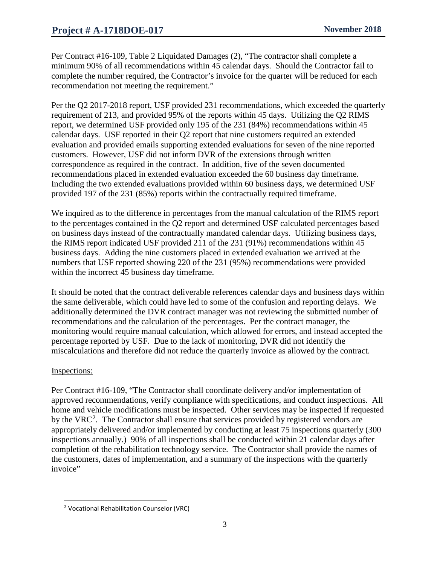Per Contract #16-109, Table 2 Liquidated Damages (2), "The contractor shall complete a minimum 90% of all recommendations within 45 calendar days. Should the Contractor fail to complete the number required, the Contractor's invoice for the quarter will be reduced for each recommendation not meeting the requirement."

Per the Q2 2017-2018 report, USF provided 231 recommendations, which exceeded the quarterly requirement of 213, and provided 95% of the reports within 45 days. Utilizing the Q2 RIMS report, we determined USF provided only 195 of the 231 (84%) recommendations within 45 calendar days. USF reported in their Q2 report that nine customers required an extended evaluation and provided emails supporting extended evaluations for seven of the nine reported customers. However, USF did not inform DVR of the extensions through written correspondence as required in the contract. In addition, five of the seven documented recommendations placed in extended evaluation exceeded the 60 business day timeframe. Including the two extended evaluations provided within 60 business days, we determined USF provided 197 of the 231 (85%) reports within the contractually required timeframe.

We inquired as to the difference in percentages from the manual calculation of the RIMS report to the percentages contained in the Q2 report and determined USF calculated percentages based on business days instead of the contractually mandated calendar days. Utilizing business days, the RIMS report indicated USF provided 211 of the 231 (91%) recommendations within 45 business days. Adding the nine customers placed in extended evaluation we arrived at the numbers that USF reported showing 220 of the 231 (95%) recommendations were provided within the incorrect 45 business day timeframe.

It should be noted that the contract deliverable references calendar days and business days within the same deliverable, which could have led to some of the confusion and reporting delays. We additionally determined the DVR contract manager was not reviewing the submitted number of recommendations and the calculation of the percentages. Per the contract manager, the monitoring would require manual calculation, which allowed for errors, and instead accepted the percentage reported by USF. Due to the lack of monitoring, DVR did not identify the miscalculations and therefore did not reduce the quarterly invoice as allowed by the contract.

#### Inspections:

 $\overline{a}$ 

Per Contract #16-109, "The Contractor shall coordinate delivery and/or implementation of approved recommendations, verify compliance with specifications, and conduct inspections. All home and vehicle modifications must be inspected. Other services may be inspected if requested by the VRC<sup>[2](#page-2-0)</sup>. The Contractor shall ensure that services provided by registered vendors are appropriately delivered and/or implemented by conducting at least 75 inspections quarterly (300 inspections annually.) 90% of all inspections shall be conducted within 21 calendar days after completion of the rehabilitation technology service. The Contractor shall provide the names of the customers, dates of implementation, and a summary of the inspections with the quarterly invoice"

<span id="page-2-0"></span><sup>&</sup>lt;sup>2</sup> Vocational Rehabilitation Counselor (VRC)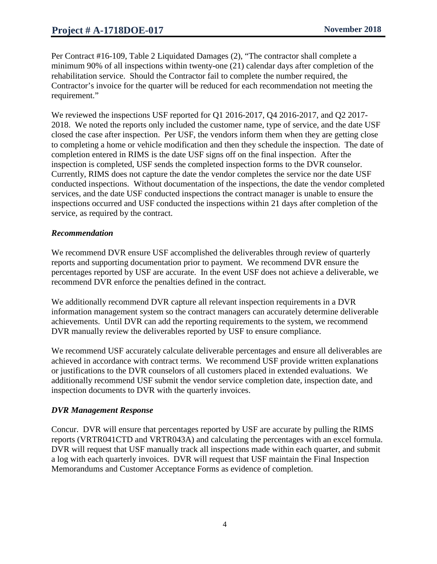Per Contract #16-109, Table 2 Liquidated Damages (2), "The contractor shall complete a minimum 90% of all inspections within twenty-one (21) calendar days after completion of the rehabilitation service. Should the Contractor fail to complete the number required, the Contractor's invoice for the quarter will be reduced for each recommendation not meeting the requirement."

We reviewed the inspections USF reported for Q1 2016-2017, Q4 2016-2017, and Q2 2017-2018. We noted the reports only included the customer name, type of service, and the date USF closed the case after inspection. Per USF, the vendors inform them when they are getting close to completing a home or vehicle modification and then they schedule the inspection. The date of completion entered in RIMS is the date USF signs off on the final inspection. After the inspection is completed, USF sends the completed inspection forms to the DVR counselor. Currently, RIMS does not capture the date the vendor completes the service nor the date USF conducted inspections. Without documentation of the inspections, the date the vendor completed services, and the date USF conducted inspections the contract manager is unable to ensure the inspections occurred and USF conducted the inspections within 21 days after completion of the service, as required by the contract.

#### *Recommendation*

We recommend DVR ensure USF accomplished the deliverables through review of quarterly reports and supporting documentation prior to payment. We recommend DVR ensure the percentages reported by USF are accurate. In the event USF does not achieve a deliverable, we recommend DVR enforce the penalties defined in the contract.

We additionally recommend DVR capture all relevant inspection requirements in a DVR information management system so the contract managers can accurately determine deliverable achievements. Until DVR can add the reporting requirements to the system, we recommend DVR manually review the deliverables reported by USF to ensure compliance.

We recommend USF accurately calculate deliverable percentages and ensure all deliverables are achieved in accordance with contract terms. We recommend USF provide written explanations or justifications to the DVR counselors of all customers placed in extended evaluations. We additionally recommend USF submit the vendor service completion date, inspection date, and inspection documents to DVR with the quarterly invoices.

#### *DVR Management Response*

Concur. DVR will ensure that percentages reported by USF are accurate by pulling the RIMS reports (VRTR041CTD and VRTR043A) and calculating the percentages with an excel formula. DVR will request that USF manually track all inspections made within each quarter, and submit a log with each quarterly invoices. DVR will request that USF maintain the Final Inspection Memorandums and Customer Acceptance Forms as evidence of completion.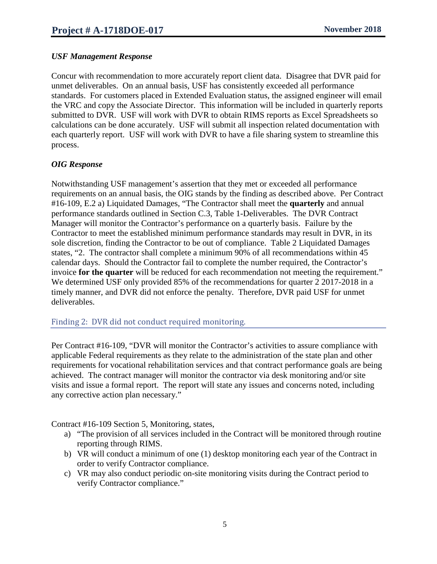### *USF Management Response*

Concur with recommendation to more accurately report client data. Disagree that DVR paid for unmet deliverables. On an annual basis, USF has consistently exceeded all performance standards. For customers placed in Extended Evaluation status, the assigned engineer will email the VRC and copy the Associate Director. This information will be included in quarterly reports submitted to DVR. USF will work with DVR to obtain RIMS reports as Excel Spreadsheets so calculations can be done accurately. USF will submit all inspection related documentation with each quarterly report. USF will work with DVR to have a file sharing system to streamline this process.

## *OIG Response*

Notwithstanding USF management's assertion that they met or exceeded all performance requirements on an annual basis, the OIG stands by the finding as described above. Per Contract #16-109, E.2 a) Liquidated Damages, "The Contractor shall meet the **quarterly** and annual performance standards outlined in Section C.3, Table 1-Deliverables. The DVR Contract Manager will monitor the Contractor's performance on a quarterly basis. Failure by the Contractor to meet the established minimum performance standards may result in DVR, in its sole discretion, finding the Contractor to be out of compliance. Table 2 Liquidated Damages states, "2. The contractor shall complete a minimum 90% of all recommendations within 45 calendar days. Should the Contractor fail to complete the number required, the Contractor's invoice **for the quarter** will be reduced for each recommendation not meeting the requirement." We determined USF only provided 85% of the recommendations for quarter 2 2017-2018 in a timely manner, and DVR did not enforce the penalty. Therefore, DVR paid USF for unmet deliverables.

#### Finding 2: DVR did not conduct required monitoring.

Per Contract #16-109, "DVR will monitor the Contractor's activities to assure compliance with applicable Federal requirements as they relate to the administration of the state plan and other requirements for vocational rehabilitation services and that contract performance goals are being achieved. The contract manager will monitor the contractor via desk monitoring and/or site visits and issue a formal report. The report will state any issues and concerns noted, including any corrective action plan necessary."

Contract #16-109 Section 5, Monitoring, states,

- a) "The provision of all services included in the Contract will be monitored through routine reporting through RIMS.
- b) VR will conduct a minimum of one (1) desktop monitoring each year of the Contract in order to verify Contractor compliance.
- c) VR may also conduct periodic on-site monitoring visits during the Contract period to verify Contractor compliance."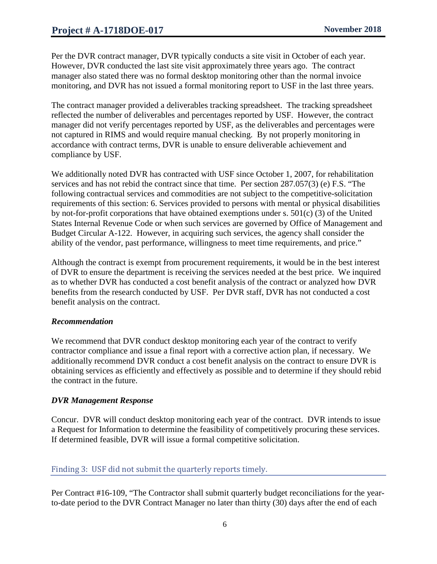Per the DVR contract manager, DVR typically conducts a site visit in October of each year. However, DVR conducted the last site visit approximately three years ago. The contract manager also stated there was no formal desktop monitoring other than the normal invoice monitoring, and DVR has not issued a formal monitoring report to USF in the last three years.

The contract manager provided a deliverables tracking spreadsheet. The tracking spreadsheet reflected the number of deliverables and percentages reported by USF. However, the contract manager did not verify percentages reported by USF, as the deliverables and percentages were not captured in RIMS and would require manual checking. By not properly monitoring in accordance with contract terms, DVR is unable to ensure deliverable achievement and compliance by USF.

We additionally noted DVR has contracted with USF since October 1, 2007, for rehabilitation services and has not rebid the contract since that time. Per section 287.057(3) (e) F.S. "The following contractual services and commodities are not subject to the competitive-solicitation requirements of this section: 6. Services provided to persons with mental or physical disabilities by not-for-profit corporations that have obtained exemptions under s. 501(c) (3) of the United States Internal Revenue Code or when such services are governed by Office of Management and Budget Circular A-122. However, in acquiring such services, the agency shall consider the ability of the vendor, past performance, willingness to meet time requirements, and price."

Although the contract is exempt from procurement requirements, it would be in the best interest of DVR to ensure the department is receiving the services needed at the best price. We inquired as to whether DVR has conducted a cost benefit analysis of the contract or analyzed how DVR benefits from the research conducted by USF. Per DVR staff, DVR has not conducted a cost benefit analysis on the contract.

#### *Recommendation*

We recommend that DVR conduct desktop monitoring each year of the contract to verify contractor compliance and issue a final report with a corrective action plan, if necessary. We additionally recommend DVR conduct a cost benefit analysis on the contract to ensure DVR is obtaining services as efficiently and effectively as possible and to determine if they should rebid the contract in the future.

#### *DVR Management Response*

Concur. DVR will conduct desktop monitoring each year of the contract. DVR intends to issue a Request for Information to determine the feasibility of competitively procuring these services. If determined feasible, DVR will issue a formal competitive solicitation.

#### Finding 3: USF did not submit the quarterly reports timely.

Per Contract #16-109, "The Contractor shall submit quarterly budget reconciliations for the yearto-date period to the DVR Contract Manager no later than thirty (30) days after the end of each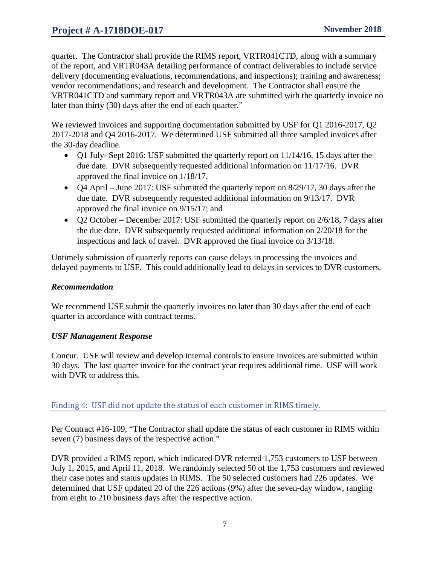## **Project # A-1718DOE-017 November 2018**

quarter. The Contractor shall provide the RIMS report, VRTR041CTD, along with a summary of the report, and VRTR043A detailing performance of contract deliverables to include service delivery (documenting evaluations, recommendations, and inspections); training and awareness; vendor recommendations; and research and development. The Contractor shall ensure the VRTR041CTD and summary report and VRTR043A are submitted with the quarterly invoice no later than thirty (30) days after the end of each quarter."

We reviewed invoices and supporting documentation submitted by USF for Q1 2016-2017, Q2 2017-2018 and Q4 2016-2017. We determined USF submitted all three sampled invoices after the 30-day deadline.

- Q1 July- Sept 2016: USF submitted the quarterly report on 11/14/16, 15 days after the due date. DVR subsequently requested additional information on 11/17/16. DVR approved the final invoice on 1/18/17.
- Q4 April June 2017: USF submitted the quarterly report on 8/29/17, 30 days after the due date. DVR subsequently requested additional information on 9/13/17. DVR approved the final invoice on 9/15/17; and
- Q2 October December 2017: USF submitted the quarterly report on 2/6/18, 7 days after the due date. DVR subsequently requested additional information on 2/20/18 for the inspections and lack of travel. DVR approved the final invoice on 3/13/18.

Untimely submission of quarterly reports can cause delays in processing the invoices and delayed payments to USF. This could additionally lead to delays in services to DVR customers.

### *Recommendation*

We recommend USF submit the quarterly invoices no later than 30 days after the end of each quarter in accordance with contract terms.

#### *USF Management Response*

Concur. USF will review and develop internal controls to ensure invoices are submitted within 30 days. The last quarter invoice for the contract year requires additional time. USF will work with DVR to address this.

## Finding 4: USF did not update the status of each customer in RIMS timely.

Per Contract #16-109, "The Contractor shall update the status of each customer in RIMS within seven (7) business days of the respective action."

DVR provided a RIMS report, which indicated DVR referred 1,753 customers to USF between July 1, 2015, and April 11, 2018. We randomly selected 50 of the 1,753 customers and reviewed their case notes and status updates in RIMS. The 50 selected customers had 226 updates. We determined that USF updated 20 of the 226 actions (9%) after the seven-day window, ranging from eight to 210 business days after the respective action.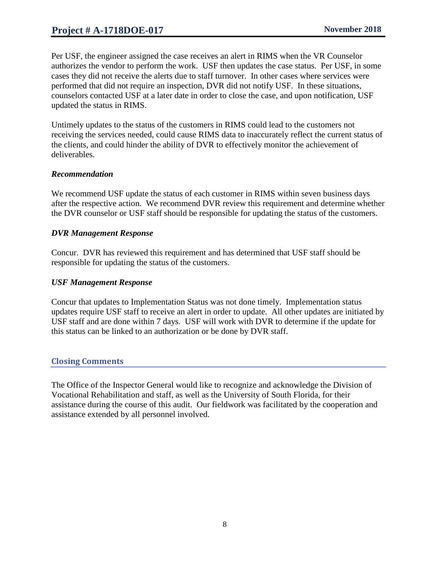Per USF, the engineer assigned the case receives an alert in RIMS when the VR Counselor authorizes the vendor to perform the work. USF then updates the case status. Per USF, in some cases they did not receive the alerts due to staff turnover. In other cases where services were performed that did not require an inspection, DVR did not notify USF. In these situations, counselors contacted USF at a later date in order to close the case, and upon notification, USF updated the status in RIMS.

Untimely updates to the status of the customers in RIMS could lead to the customers not receiving the services needed, could cause RIMS data to inaccurately reflect the current status of the clients, and could hinder the ability of DVR to effectively monitor the achievement of deliverables.

#### *Recommendation*

We recommend USF update the status of each customer in RIMS within seven business days after the respective action. We recommend DVR review this requirement and determine whether the DVR counselor or USF staff should be responsible for updating the status of the customers.

## *DVR Management Response*

Concur. DVR has reviewed this requirement and has determined that USF staff should be responsible for updating the status of the customers.

### *USF Management Response*

Concur that updates to Implementation Status was not done timely. Implementation status updates require USF staff to receive an alert in order to update. All other updates are initiated by USF staff and are done within 7 days. USF will work with DVR to determine if the update for this status can be linked to an authorization or be done by DVR staff.

## **Closing Comments**

The Office of the Inspector General would like to recognize and acknowledge the Division of Vocational Rehabilitation and staff, as well as the University of South Florida, for their assistance during the course of this audit. Our fieldwork was facilitated by the cooperation and assistance extended by all personnel involved.